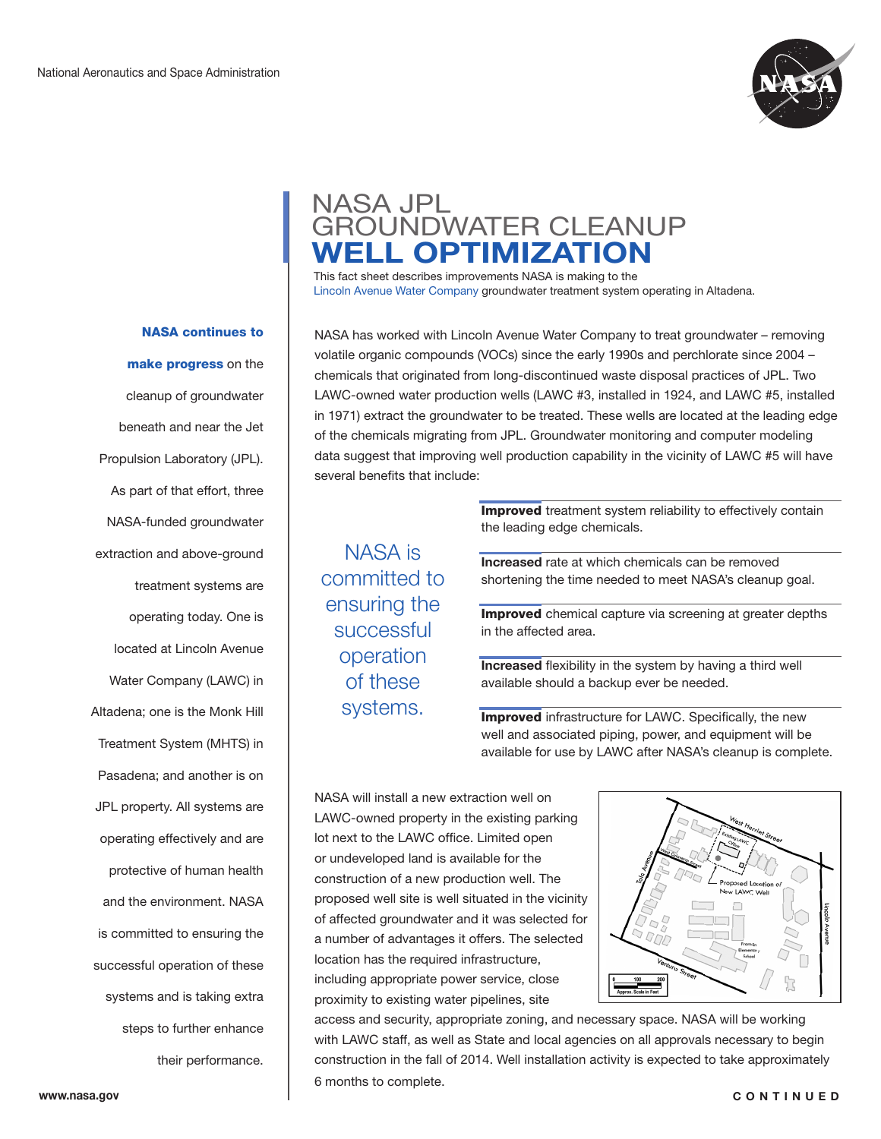

## NASA JPL GROUNDWATER CLEANUP **WELL OPTIMIZATION**

This fact sheet describes improvements NASA is making to the Lincoln Avenue Water Company groundwater treatment system operating in Altadena.

NASA has worked with Lincoln Avenue Water Company to treat groundwater – removing volatile organic compounds (VOCs) since the early 1990s and perchlorate since 2004 – chemicals that originated from long-discontinued waste disposal practices of JPL. Two LAWC-owned water production wells (LAWC #3, installed in 1924, and LAWC #5, installed in 1971) extract the groundwater to be treated. These wells are located at the leading edge of the chemicals migrating from JPL. Groundwater monitoring and computer modeling data suggest that improving well production capability in the vicinity of LAWC #5 will have several benefits that include:

NASA is committed to ensuring the successful operation of these systems.

**Improved** treatment system reliability to effectively contain the leading edge chemicals.

**Increased** rate at which chemicals can be removed shortening the time needed to meet NASA's cleanup goal.

**Improved** chemical capture via screening at greater depths in the affected area.

**Increased** flexibility in the system by having a third well available should a backup ever be needed.

**Improved** infrastructure for LAWC. Specifically, the new well and associated piping, power, and equipment will be available for use by LAWC after NASA's cleanup is complete.

NASA will install a new extraction well on LAWC-owned property in the existing parking lot next to the LAWC office. Limited open or undeveloped land is available for the construction of a new production well. The proposed well site is well situated in the vicinity of affected groundwater and it was selected for a number of advantages it offers. The selected location has the required infrastructure, including appropriate power service, close proximity to existing water pipelines, site



access and security, appropriate zoning, and necessary space. NASA will be working with LAWC staff, as well as State and local agencies on all approvals necessary to begin construction in the fall of 2014. Well installation activity is expected to take approximately 6 months to complete.

NASA continues to

make progress on the cleanup of groundwater beneath and near the Jet Propulsion Laboratory (JPL). As part of that effort, three NASA-funded groundwater extraction and above-ground treatment systems are operating today. One is located at Lincoln Avenue Water Company (LAWC) in Altadena; one is the Monk Hill Treatment System (MHTS) in Pasadena; and another is on JPL property. All systems are operating effectively and are protective of human health and the environment. NASA is committed to ensuring the successful operation of these systems and is taking extra steps to further enhance their performance.